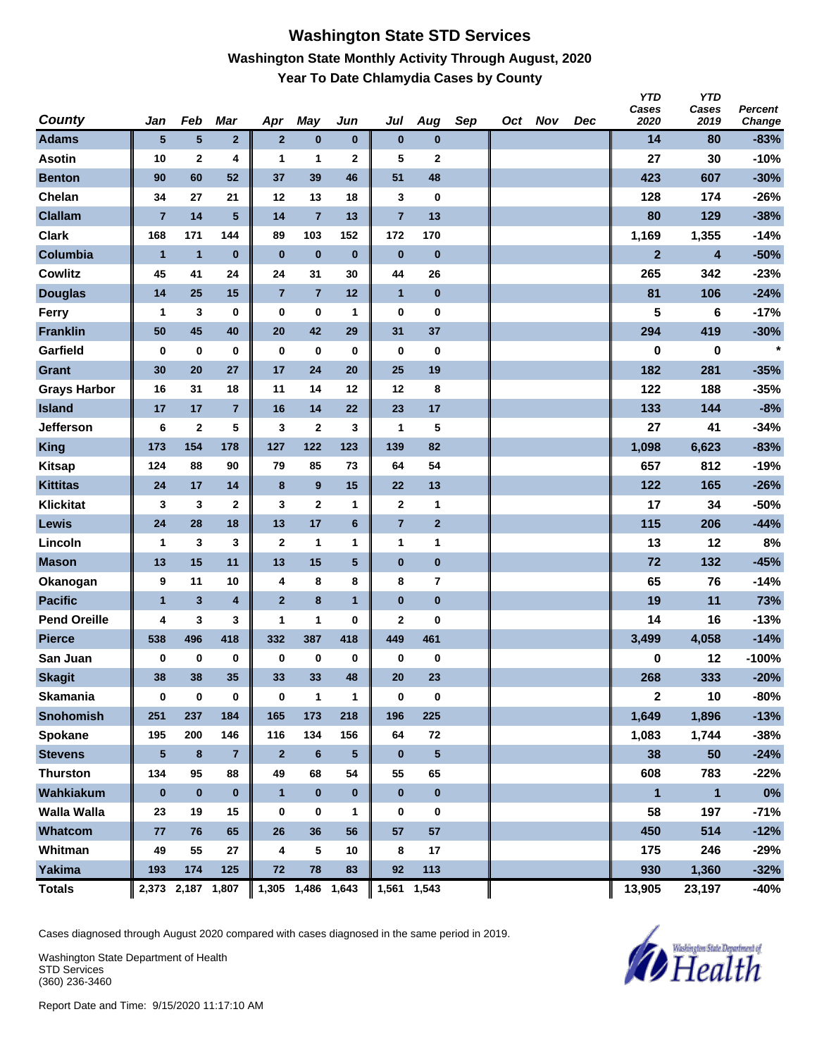### **Washington State STD Services Washington State Monthly Activity Through August, 2020 Year To Date Chlamydia Cases by County**

| <b>County</b>       | Jan            | Feb               | Mar                     | Apr            | May               | Jun          | Jul            | Aug            | Sep | Oct Nov | Dec | <b>YTD</b><br>Cases<br>2020 | <b>YTD</b><br>Cases<br>2019 | <b>Percent</b><br>Change |
|---------------------|----------------|-------------------|-------------------------|----------------|-------------------|--------------|----------------|----------------|-----|---------|-----|-----------------------------|-----------------------------|--------------------------|
| <b>Adams</b>        | $5\phantom{1}$ | ${\bf 5}$         | $\overline{\mathbf{2}}$ | $\overline{2}$ | $\bf{0}$          | $\bf{0}$     | $\bf{0}$       | $\bf{0}$       |     |         |     | 14                          | 80                          | $-83%$                   |
| <b>Asotin</b>       | 10             | $\mathbf 2$       | 4                       | 1              | 1                 | $\mathbf 2$  | 5              | $\mathbf 2$    |     |         |     | 27                          | 30                          | $-10%$                   |
| <b>Benton</b>       | 90             | 60                | 52                      | 37             | 39                | 46           | 51             | 48             |     |         |     | 423                         | 607                         | $-30%$                   |
| Chelan              | 34             | 27                | 21                      | 12             | 13                | 18           | 3              | 0              |     |         |     | 128                         | 174                         | $-26%$                   |
| <b>Clallam</b>      | $\overline{7}$ | 14                | $5\phantom{.0}$         | 14             | $\overline{7}$    | 13           | $\overline{7}$ | 13             |     |         |     | 80                          | 129                         | $-38%$                   |
| <b>Clark</b>        | 168            | 171               | 144                     | 89             | 103               | 152          | 172            | 170            |     |         |     | 1,169                       | 1,355                       | $-14%$                   |
| Columbia            | $\overline{1}$ | $\mathbf{1}$      | $\bf{0}$                | $\bf{0}$       | $\pmb{0}$         | $\bf{0}$     | $\bf{0}$       | $\pmb{0}$      |     |         |     | $\mathbf{2}$                | $\overline{\mathbf{4}}$     | $-50%$                   |
| <b>Cowlitz</b>      | 45             | 41                | 24                      | 24             | 31                | 30           | 44             | 26             |     |         |     | 265                         | 342                         | $-23%$                   |
| <b>Douglas</b>      | 14             | 25                | 15                      | $\overline{7}$ | $\overline{7}$    | 12           | $\mathbf{1}$   | $\bf{0}$       |     |         |     | 81                          | 106                         | $-24%$                   |
| Ferry               | 1              | $\mathbf{3}$      | 0                       | 0              | $\pmb{0}$         | 1            | $\bf{0}$       | $\pmb{0}$      |     |         |     | 5                           | 6                           | $-17%$                   |
| <b>Franklin</b>     | 50             | 45                | 40                      | 20             | 42                | 29           | 31             | 37             |     |         |     | 294                         | 419                         | $-30%$                   |
| Garfield            | $\bf{0}$       | $\bf{0}$          | 0                       | $\bf{0}$       | $\pmb{0}$         | $\bf{0}$     | $\bf{0}$       | $\pmb{0}$      |     |         |     | 0                           | 0                           | $\star$                  |
| <b>Grant</b>        | 30             | 20                | 27                      | 17             | 24                | 20           | 25             | 19             |     |         |     | 182                         | 281                         | $-35%$                   |
| <b>Grays Harbor</b> | 16             | 31                | 18                      | 11             | 14                | 12           | 12             | 8              |     |         |     | 122                         | 188                         | $-35%$                   |
| <b>Island</b>       | 17             | 17                | $\overline{7}$          | 16             | $14$              | 22           | 23             | 17             |     |         |     | 133                         | 144                         | $-8%$                    |
| Jefferson           | 6              | $\mathbf{2}$      | 5                       | 3              | $\mathbf{2}$      | 3            | 1              | 5              |     |         |     | 27                          | 41                          | $-34%$                   |
| <b>King</b>         | 173            | 154               | 178                     | 127            | 122               | 123          | 139            | 82             |     |         |     | 1,098                       | 6,623                       | $-83%$                   |
| <b>Kitsap</b>       | 124            | 88                | 90                      | 79             | 85                | 73           | 64             | 54             |     |         |     | 657                         | 812                         | $-19%$                   |
| <b>Kittitas</b>     | 24             | 17                | 14                      | $\bf{8}$       | 9                 | 15           | 22             | 13             |     |         |     | 122                         | 165                         | $-26%$                   |
| <b>Klickitat</b>    | 3              | $\mathbf{3}$      | $\mathbf{2}$            | 3              | $\mathbf{2}$      | 1            | $\mathbf{2}$   | 1              |     |         |     | 17                          | 34                          | $-50%$                   |
| Lewis               | 24             | 28                | 18                      | 13             | 17                | 6            | $\overline{7}$ | $\mathbf{2}$   |     |         |     | 115                         | 206                         | $-44%$                   |
| Lincoln             | 1              | 3                 | 3                       | $\mathbf{2}$   | $\mathbf{1}$      | 1            | $\mathbf{1}$   | 1              |     |         |     | 13                          | 12                          | 8%                       |
| <b>Mason</b>        | 13             | 15                | 11                      | 13             | 15                | $\sqrt{5}$   | $\bf{0}$       | $\pmb{0}$      |     |         |     | 72                          | 132                         | $-45%$                   |
| Okanogan            | 9              | 11                | 10                      | 4              | 8                 | 8            | 8              | $\overline{7}$ |     |         |     | 65                          | 76                          | $-14%$                   |
| <b>Pacific</b>      | $\overline{1}$ | $\mathbf{3}$      | $\overline{\mathbf{4}}$ | $\overline{2}$ | 8                 | $\mathbf{1}$ | $\bf{0}$       | $\pmb{0}$      |     |         |     | 19                          | 11                          | 73%                      |
| <b>Pend Oreille</b> | 4              | 3                 | 3                       | 1              | 1                 | 0            | $\overline{2}$ | 0              |     |         |     | 14                          | 16                          | $-13%$                   |
| <b>Pierce</b>       | 538            | 496               | 418                     | 332            | 387               | 418          | 449            | 461            |     |         |     | 3,499                       | 4,058                       | $-14%$                   |
| San Juan            | 0              | $\pmb{0}$         | 0                       | 0              | $\pmb{0}$         | $\bf{0}$     | $\bf{0}$       | 0              |     |         |     | 0                           | 12                          | $-100%$                  |
| <b>Skagit</b>       | 38             | 38                | 35                      | 33             | 33                | 48           | 20             | 23             |     |         |     | 268                         | 333                         | $-20%$                   |
| <b>Skamania</b>     | $\bf{0}$       | $\bf{0}$          | 0                       | $\bf{0}$       | $\mathbf{1}$      | $\mathbf{1}$ | $\bf{0}$       | 0              |     |         |     | $\mathbf 2$                 | 10                          | -80%                     |
| <b>Snohomish</b>    | 251            | 237               | 184                     | 165            | 173               | 218          | 196            | 225            |     |         |     | 1,649                       | 1,896                       | $-13%$                   |
| Spokane             | 195            | 200               | 146                     | 116            | 134               | 156          | 64             | 72             |     |         |     | 1,083                       | 1,744                       | $-38%$                   |
| <b>Stevens</b>      | 5              | 8                 | $\overline{7}$          | $\overline{2}$ | $6\phantom{1}6$   | 5            | $\bf{0}$       | $\sqrt{5}$     |     |         |     | 38                          | 50                          | $-24%$                   |
| <b>Thurston</b>     | 134            | 95                | 88                      | 49             | 68                | 54           | 55             | 65             |     |         |     | 608                         | 783                         | $-22%$                   |
| Wahkiakum           | $\pmb{0}$      | $\pmb{0}$         | $\mathbf 0$             | $\mathbf{1}$   | $\pmb{0}$         | $\pmb{0}$    | $\bf{0}$       | $\pmb{0}$      |     |         |     | $\mathbf{1}$                | $\mathbf{1}$                | $0\%$                    |
| <b>Walla Walla</b>  | 23             | 19                | 15                      | 0              | 0                 | 1            | 0              | 0              |     |         |     | 58                          | 197                         | $-71%$                   |
| Whatcom             | 77             | 76                | 65                      | 26             | 36                | 56           | 57             | 57             |     |         |     | 450                         | 514                         | $-12%$                   |
| Whitman             | 49             | 55                | 27                      | 4              | 5                 | 10           | 8              | 17             |     |         |     | 175                         | 246                         | $-29%$                   |
| <b>Yakima</b>       | 193            | 174               | 125                     | 72             | 78                | 83           | 92             | 113            |     |         |     | 930                         | 1,360                       | $-32%$                   |
| <b>Totals</b>       |                | 2,373 2,187 1,807 |                         |                | 1,305 1,486 1,643 |              |                | 1,561 1,543    |     |         |     | 13,905                      | 23,197                      | $-40%$                   |

Cases diagnosed through August 2020 compared with cases diagnosed in the same period in 2019.

Washington State Department of Health STD Services (360) 236-3460

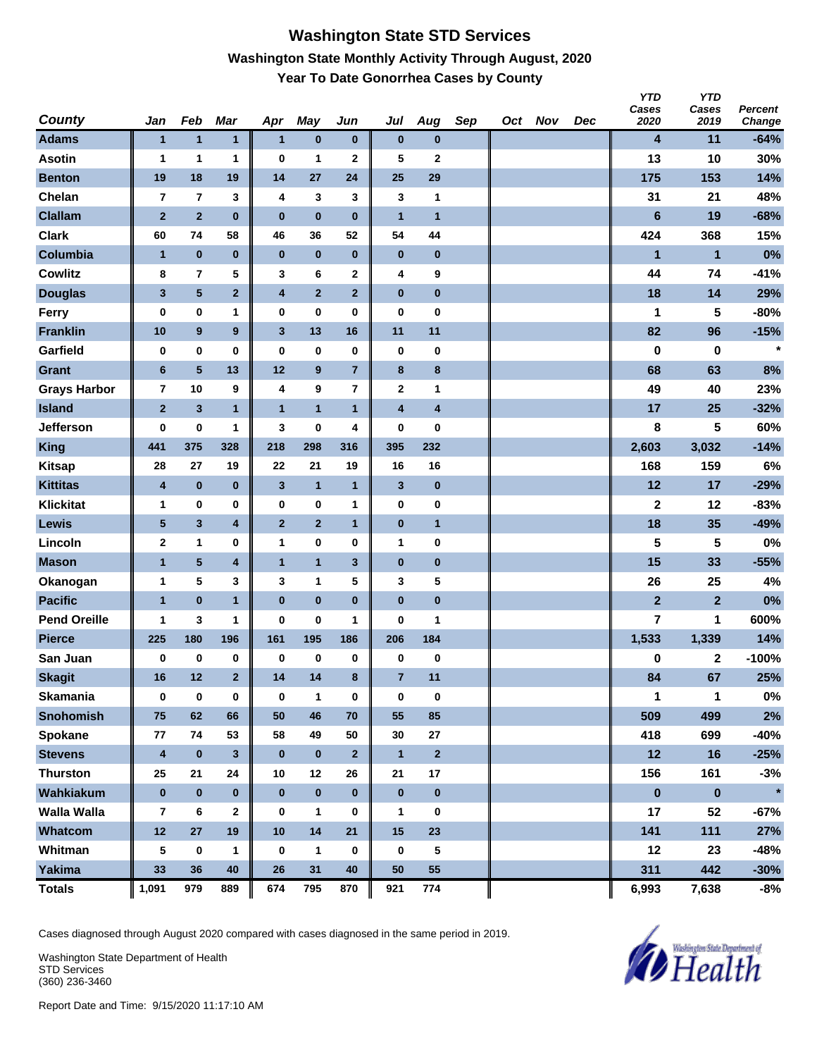### **Washington State STD Services Washington State Monthly Activity Through August, 2020 Year To Date Gonorrhea Cases by County**

| <b>County</b>       | Jan                     | Feb                     | Mar                     | Apr            | <b>May</b>       | Jun                     | Jul                     | Aug                     | Sep | Oct Nov | Dec | <b>YTD</b><br>Cases<br>2020 | <b>YTD</b><br>Cases<br>2019 | Percent<br>Change |
|---------------------|-------------------------|-------------------------|-------------------------|----------------|------------------|-------------------------|-------------------------|-------------------------|-----|---------|-----|-----------------------------|-----------------------------|-------------------|
| <b>Adams</b>        | $\overline{1}$          | $\mathbf{1}$            | $\mathbf{1}$            | $\overline{1}$ | $\pmb{0}$        | $\bf{0}$                | $\pmb{0}$               | $\bf{0}$                |     |         |     | 4                           | 11                          | $-64%$            |
| <b>Asotin</b>       | 1                       | 1                       | 1                       | $\bf{0}$       | 1                | $\mathbf 2$             | 5                       | $\mathbf 2$             |     |         |     | 13                          | 10                          | 30%               |
| <b>Benton</b>       | 19                      | 18                      | 19                      | 14             | 27               | 24                      | 25                      | 29                      |     |         |     | 175                         | 153                         | 14%               |
| Chelan              | $\overline{\mathbf{r}}$ | $\overline{7}$          | 3                       | 4              | $\mathbf 3$      | 3                       | 3                       | 1                       |     |         |     | 31                          | 21                          | 48%               |
| <b>Clallam</b>      | $\mathbf 2$             | $\overline{2}$          | $\bf{0}$                | $\pmb{0}$      | $\bf{0}$         | $\bf{0}$                | $\overline{1}$          | $\overline{\mathbf{1}}$ |     |         |     | $6\phantom{1}$              | 19                          | $-68%$            |
| <b>Clark</b>        | 60                      | 74                      | 58                      | 46             | 36               | 52                      | 54                      | 44                      |     |         |     | 424                         | 368                         | 15%               |
| Columbia            | $\overline{1}$          | $\pmb{0}$               | $\bf{0}$                | $\pmb{0}$      | $\bf{0}$         | $\pmb{0}$               | $\bf{0}$                | $\pmb{0}$               |     |         |     | $\blacksquare$              | $\mathbf{1}$                | 0%                |
| <b>Cowlitz</b>      | 8                       | $\overline{\mathbf{r}}$ | 5                       | 3              | 6                | $\mathbf 2$             | 4                       | 9                       |     |         |     | 44                          | 74                          | $-41%$            |
| <b>Douglas</b>      | 3                       | 5                       | $\overline{2}$          | 4              | $\overline{2}$   | $\overline{2}$          | $\pmb{0}$               | $\pmb{0}$               |     |         |     | 18                          | 14                          | 29%               |
| Ferry               | $\bf{0}$                | $\pmb{0}$               | 1                       | 0              | $\bf{0}$         | 0                       | $\bf{0}$                | 0                       |     |         |     | 1                           | 5                           | $-80%$            |
| <b>Franklin</b>     | 10                      | $\boldsymbol{9}$        | $\boldsymbol{9}$        | $\mathbf{3}$   | 13               | 16                      | 11                      | 11                      |     |         |     | 82                          | 96                          | $-15%$            |
| Garfield            | 0                       | $\pmb{0}$               | $\bf{0}$                | $\bf{0}$       | $\bf{0}$         | 0                       | 0                       | 0                       |     |         |     | 0                           | 0                           | $\star$           |
| <b>Grant</b>        | $\bf 6$                 | 5                       | 13                      | 12             | $\boldsymbol{9}$ | $\overline{7}$          | 8                       | 8                       |     |         |     | 68                          | 63                          | 8%                |
| <b>Grays Harbor</b> | $\overline{7}$          | 10                      | 9                       | 4              | 9                | $\overline{\mathbf{r}}$ | $\mathbf 2$             | 1                       |     |         |     | 49                          | 40                          | 23%               |
| <b>Island</b>       | $\mathbf 2$             | $\mathbf 3$             | $\mathbf{1}$            | $\mathbf{1}$   | $\mathbf{1}$     | $\mathbf{1}$            | $\overline{\mathbf{4}}$ | 4                       |     |         |     | 17                          | 25                          | $-32%$            |
| <b>Jefferson</b>    | 0                       | 0                       | 1                       | 3              | 0                | 4                       | 0                       | 0                       |     |         |     | 8                           | 5                           | 60%               |
| <b>King</b>         | 441                     | 375                     | 328                     | 218            | 298              | 316                     | 395                     | 232                     |     |         |     | 2,603                       | 3,032                       | $-14%$            |
| <b>Kitsap</b>       | 28                      | 27                      | 19                      | 22             | 21               | 19                      | 16                      | 16                      |     |         |     | 168                         | 159                         | 6%                |
| <b>Kittitas</b>     | 4                       | $\pmb{0}$               | $\bf{0}$                | $\mathbf{3}$   | $\mathbf{1}$     | $\mathbf{1}$            | $\mathbf{3}$            | $\pmb{0}$               |     |         |     | 12                          | 17                          | $-29%$            |
| <b>Klickitat</b>    | 1                       | $\pmb{0}$               | 0                       | 0              | $\bf{0}$         | 1                       | $\pmb{0}$               | 0                       |     |         |     | $\mathbf 2$                 | 12                          | $-83%$            |
| Lewis               | $\sqrt{5}$              | 3                       | $\overline{\mathbf{4}}$ | $\mathbf{2}$   | $\mathbf{2}$     | $\mathbf{1}$            | $\pmb{0}$               | $\mathbf{1}$            |     |         |     | 18                          | 35                          | $-49%$            |
| Lincoln             | $\mathbf{2}$            | 1                       | $\bf{0}$                | 1              | $\bf{0}$         | 0                       | 1                       | 0                       |     |         |     | 5                           | 5                           | 0%                |
| <b>Mason</b>        | $\mathbf{1}$            | 5                       | $\overline{\mathbf{4}}$ | $\mathbf{1}$   | $\overline{1}$   | $\mathbf{3}$            | $\pmb{0}$               | $\pmb{0}$               |     |         |     | 15                          | 33                          | $-55%$            |
| Okanogan            | 1                       | 5                       | 3                       | 3              | 1                | 5                       | 3                       | 5                       |     |         |     | 26                          | 25                          | 4%                |
| <b>Pacific</b>      | $\overline{1}$          | $\pmb{0}$               | $\mathbf{1}$            | $\pmb{0}$      | $\bf{0}$         | $\bf{0}$                | $\pmb{0}$               | $\pmb{0}$               |     |         |     | $\overline{2}$              | $\overline{2}$              | $0\%$             |
| <b>Pend Oreille</b> | 1                       | 3                       | 1                       | $\bf{0}$       | $\bf{0}$         | 1                       | 0                       | 1                       |     |         |     | $\overline{7}$              | 1                           | 600%              |
| <b>Pierce</b>       | 225                     | 180                     | 196                     | 161            | 195              | 186                     | 206                     | 184                     |     |         |     | 1,533                       | 1,339                       | 14%               |
| San Juan            | 0                       | $\pmb{0}$               | 0                       | 0              | 0                | 0                       | 0                       | 0                       |     |         |     | 0                           | $\mathbf{2}$                | $-100%$           |
| <b>Skagit</b>       | 16                      | 12                      | $\overline{2}$          | 14             | 14               | 8                       | $\overline{7}$          | 11                      |     |         |     | 84                          | 67                          | 25%               |
| <b>Skamania</b>     | 0                       | $\bf{0}$                | $\pmb{0}$               | $\bf{0}$       | $\mathbf{1}$     | $\pmb{0}$               | 0                       | $\pmb{0}$               |     |         |     | 1                           | $\mathbf{1}$                | $0\%$             |
| <b>Snohomish</b>    | 75                      | 62                      | 66                      | 50             | 46               | 70                      | 55                      | 85                      |     |         |     | 509                         | 499                         | 2%                |
| Spokane             | 77                      | 74                      | 53                      | 58             | 49               | 50                      | 30                      | 27                      |     |         |     | 418                         | 699                         | $-40%$            |
| <b>Stevens</b>      | $\overline{\mathbf{4}}$ | $\pmb{0}$               | $\mathbf{3}$            | $\bf{0}$       | $\bf{0}$         | $\mathbf{2}$            | $\mathbf{1}$            | $\mathbf{2}$            |     |         |     | 12                          | 16                          | $-25%$            |
| <b>Thurston</b>     | 25                      | 21                      | 24                      | 10             | 12               | 26                      | 21                      | 17                      |     |         |     | 156                         | 161                         | $-3%$             |
| Wahkiakum           | $\pmb{0}$               | $\pmb{0}$               | $\pmb{0}$               | $\bf{0}$       | $\pmb{0}$        | $\bf{0}$                | $\pmb{0}$               | $\mathbf 0$             |     |         |     | $\pmb{0}$                   | $\pmb{0}$                   | $\star$           |
| <b>Walla Walla</b>  | 7                       | 6                       | $\mathbf{2}$            | 0              | $\mathbf{1}$     | 0                       | 1                       | 0                       |     |         |     | 17                          | 52                          | $-67%$            |
| Whatcom             | 12                      | 27                      | 19                      | 10             | 14               | 21                      | 15                      | 23                      |     |         |     | 141                         | 111                         | 27%               |
| Whitman             | 5                       | $\mathbf 0$             | 1                       | 0              | $\mathbf{1}$     | 0                       | 0                       | 5                       |     |         |     | 12                          | 23                          | -48%              |
| <b>Yakima</b>       | 33                      | 36                      | 40                      | 26             | 31               | 40                      | 50                      | 55                      |     |         |     | 311                         | 442                         | $-30%$            |
| <b>Totals</b>       | 1,091                   | 979                     | 889                     | 674            | 795              | 870                     | 921                     | 774                     |     |         |     | 6,993                       | 7,638                       | -8%               |

Cases diagnosed through August 2020 compared with cases diagnosed in the same period in 2019.

Washington State Department of Health STD Services (360) 236-3460

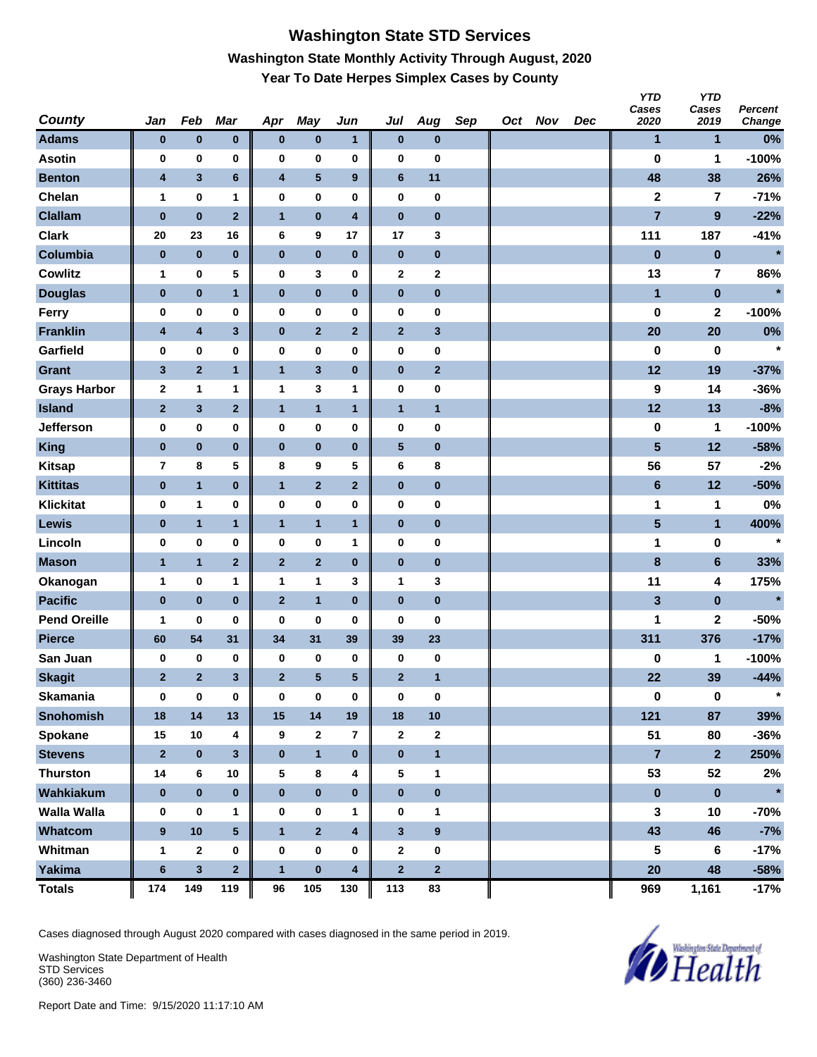# **Washington State STD Services Washington State Monthly Activity Through August, 2020 Year To Date Herpes Simplex Cases by County**

| <b>County</b>       | Jan            | Feb                     | <b>Mar</b>              | Apr                     | <b>May</b>     | Jun          | Jul          | Aug                     | Sep | Oct Nov | Dec | <b>YTD</b><br>Cases<br>2020 | <b>YTD</b><br>Cases<br>2019 | Percent<br>Change |
|---------------------|----------------|-------------------------|-------------------------|-------------------------|----------------|--------------|--------------|-------------------------|-----|---------|-----|-----------------------------|-----------------------------|-------------------|
| <b>Adams</b>        | $\bf{0}$       | $\pmb{0}$               | $\pmb{0}$               | $\bf{0}$                | $\pmb{0}$      | $\mathbf{1}$ | $\bf{0}$     | $\bf{0}$                |     |         |     | 1                           | 1                           | $0\%$             |
| <b>Asotin</b>       | $\bf{0}$       | 0                       | 0                       | $\bf{0}$                | 0              | $\pmb{0}$    | 0            | $\bf{0}$                |     |         |     | $\bf{0}$                    | 1                           | $-100%$           |
| <b>Benton</b>       | 4              | $\mathbf{3}$            | $6\phantom{1}$          | $\overline{\mathbf{4}}$ | ${\bf 5}$      | 9            | 6            | 11                      |     |         |     | 48                          | 38                          | 26%               |
| Chelan              | $\mathbf{1}$   | $\pmb{0}$               | 1                       | $\bf{0}$                | 0              | 0            | $\pmb{0}$    | $\pmb{0}$               |     |         |     | $\mathbf 2$                 | $\overline{7}$              | $-71%$            |
| <b>Clallam</b>      | $\pmb{0}$      | $\pmb{0}$               | $\mathbf 2$             | $\mathbf{1}$            | $\pmb{0}$      | 4            | $\pmb{0}$    | $\pmb{0}$               |     |         |     | $\overline{7}$              | 9                           | $-22%$            |
| <b>Clark</b>        | 20             | 23                      | 16                      | 6                       | 9              | 17           | 17           | 3                       |     |         |     | 111                         | 187                         | $-41%$            |
| Columbia            | $\pmb{0}$      | $\pmb{0}$               | $\bf{0}$                | $\pmb{0}$               | $\pmb{0}$      | $\pmb{0}$    | $\pmb{0}$    | 0                       |     |         |     | $\bf{0}$                    | $\bf{0}$                    | $\star$           |
| <b>Cowlitz</b>      | 1              | $\pmb{0}$               | 5                       | $\bf{0}$                | 3              | 0            | $\mathbf{2}$ | 2                       |     |         |     | 13                          | 7                           | 86%               |
| <b>Douglas</b>      | $\bf{0}$       | $\bf{0}$                | $\mathbf{1}$            | $\bf{0}$                | $\pmb{0}$      | $\bf{0}$     | $\pmb{0}$    | 0                       |     |         |     | $\mathbf{1}$                | $\pmb{0}$                   | $\star$           |
| Ferry               | 0              | $\pmb{0}$               | 0                       | $\bf{0}$                | 0              | 0            | $\pmb{0}$    | 0                       |     |         |     | 0                           | $\mathbf 2$                 | $-100%$           |
| <b>Franklin</b>     | 4              | $\overline{\mathbf{4}}$ | $\mathbf{3}$            | $\bf{0}$                | $\mathbf{2}$   | $\mathbf{2}$ | $\mathbf{2}$ | 3                       |     |         |     | 20                          | 20                          | $0\%$             |
| Garfield            | 0              | $\pmb{0}$               | 0                       | $\bf{0}$                | 0              | 0            | 0            | 0                       |     |         |     | $\bf{0}$                    | 0                           | $\star$           |
| <b>Grant</b>        | 3              | $\mathbf 2$             | $\mathbf{1}$            | $\mathbf{1}$            | $\mathbf{3}$   | $\bf{0}$     | $\bf{0}$     | $\overline{\mathbf{2}}$ |     |         |     | 12                          | 19                          | $-37%$            |
| <b>Grays Harbor</b> | $\mathbf{2}$   | 1                       | 1                       | $\mathbf{1}$            | 3              | 1            | $\pmb{0}$    | 0                       |     |         |     | 9                           | 14                          | $-36%$            |
| <b>Island</b>       | $\mathbf{2}$   | $\mathbf{3}$            | $\mathbf 2$             | $\mathbf{1}$            | $\mathbf{1}$   | $\mathbf{1}$ | $\mathbf{1}$ | 1                       |     |         |     | 12                          | 13                          | $-8%$             |
| Jefferson           | 0              | 0                       | 0                       | 0                       | 0              | 0            | 0            | 0                       |     |         |     | 0                           | 1                           | $-100%$           |
| <b>King</b>         | $\pmb{0}$      | $\pmb{0}$               | $\bf{0}$                | $\pmb{0}$               | $\bf{0}$       | $\pmb{0}$    | $\sqrt{5}$   | $\pmb{0}$               |     |         |     | $5\phantom{1}$              | 12                          | $-58%$            |
| <b>Kitsap</b>       | 7              | 8                       | 5                       | 8                       | 9              | 5            | 6            | 8                       |     |         |     | 56                          | 57                          | $-2%$             |
| <b>Kittitas</b>     | $\pmb{0}$      | $\mathbf{1}$            | $\pmb{0}$               | $\mathbf{1}$            | $\mathbf 2$    | $\mathbf{2}$ | $\pmb{0}$    | 0                       |     |         |     | $6\phantom{1}$              | 12                          | $-50%$            |
| <b>Klickitat</b>    | 0              | 1                       | 0                       | $\pmb{0}$               | 0              | 0            | 0            | 0                       |     |         |     | 1                           | 1                           | 0%                |
| Lewis               | $\bf{0}$       | $\mathbf{1}$            | $\mathbf{1}$            | $\mathbf{1}$            | $\mathbf{1}$   | $\mathbf{1}$ | $\pmb{0}$    | $\bf{0}$                |     |         |     | $5\phantom{.0}$             | $\mathbf{1}$                | 400%              |
| Lincoln             | 0              | $\pmb{0}$               | 0                       | $\bf{0}$                | 0              | 1            | 0            | 0                       |     |         |     | 1                           | 0                           | $\star$           |
| <b>Mason</b>        | $\mathbf{1}$   | $\mathbf{1}$            | $\mathbf 2$             | $\mathbf{2}$            | $\mathbf 2$    | $\bf{0}$     | $\pmb{0}$    | 0                       |     |         |     | 8                           | $6\phantom{1}$              | 33%               |
| Okanogan            | 1              | $\pmb{0}$               | 1                       | 1                       | 1              | 3            | $\mathbf{1}$ | 3                       |     |         |     | 11                          | 4                           | 175%              |
| <b>Pacific</b>      | $\pmb{0}$      | $\pmb{0}$               | $\bf{0}$                | $\overline{2}$          | $\mathbf{1}$   | $\bf{0}$     | $\pmb{0}$    | $\pmb{0}$               |     |         |     | 3                           | $\pmb{0}$                   | $\star$           |
| <b>Pend Oreille</b> | 1              | 0                       | 0                       | 0                       | 0              | 0            | 0            | 0                       |     |         |     | 1                           | $\mathbf{2}$                | $-50%$            |
| <b>Pierce</b>       | 60             | 54                      | 31                      | 34                      | 31             | 39           | 39           | 23                      |     |         |     | 311                         | 376                         | $-17%$            |
| San Juan            | 0              | $\pmb{0}$               | 0                       | 0                       | 0              | 0            | 0            | 0                       |     |         |     | 0                           | 1                           | $-100%$           |
| <b>Skagit</b>       | $\overline{2}$ | $\overline{2}$          | 3                       | $\overline{2}$          | ${\bf 5}$      | 5            | $\mathbf{2}$ | $\mathbf{1}$            |     |         |     | 22                          | 39                          | $-44%$            |
| <b>Skamania</b>     | $\bf{0}$       | $\bf{0}$                | $\pmb{0}$               | $\bf{0}$                | $\pmb{0}$      | $\pmb{0}$    | $\pmb{0}$    | $\pmb{0}$               |     |         |     | $\pmb{0}$                   | $\mathbf 0$                 | $\star$           |
| <b>Snohomish</b>    | 18             | 14                      | 13                      | 15                      | $14$           | 19           | 18           | $10$                    |     |         |     | 121                         | 87                          | 39%               |
| Spokane             | 15             | $10$                    | 4                       | 9                       | $\mathbf{2}$   | 7            | $\mathbf{2}$ | $\mathbf 2$             |     |         |     | 51                          | 80                          | $-36%$            |
| <b>Stevens</b>      | $\mathbf{2}$   | $\pmb{0}$               | $\mathbf{3}$            | $\bf{0}$                | $\mathbf{1}$   | $\bf{0}$     | $\pmb{0}$    | $\mathbf{1}$            |     |         |     | $\overline{7}$              | $\overline{2}$              | 250%              |
| <b>Thurston</b>     | 14             | $\bf 6$                 | 10                      | 5                       | 8              | 4            | 5            | 1                       |     |         |     | 53                          | 52                          | 2%                |
| Wahkiakum           | $\bf{0}$       | $\pmb{0}$               | $\pmb{0}$               | $\pmb{0}$               | $\pmb{0}$      | $\pmb{0}$    | $\pmb{0}$    | $\pmb{0}$               |     |         |     | $\pmb{0}$                   | $\pmb{0}$                   | $\star$           |
| <b>Walla Walla</b>  | 0              | $\bf{0}$                | 1                       | 0                       | 0              | 1            | $\pmb{0}$    | 1                       |     |         |     | 3                           | 10                          | $-70%$            |
| Whatcom             | 9              | 10                      | $\sqrt{5}$              | $\mathbf{1}$            | $\overline{2}$ | 4            | $\mathbf{3}$ | $\pmb{9}$               |     |         |     | 43                          | 46                          | $-7%$             |
| Whitman             | $\mathbf{1}$   | $\mathbf{2}$            | 0                       | $\bf{0}$                | 0              | 0            | $\mathbf{2}$ | 0                       |     |         |     | 5                           | 6                           | $-17%$            |
| <b>Yakima</b>       | $\bf 6$        | $\mathbf{3}$            | $\overline{\mathbf{2}}$ | $\overline{\mathbf{1}}$ | $\mathbf 0$    | 4            | $\mathbf 2$  | $\overline{\mathbf{2}}$ |     |         |     | 20                          | 48                          | $-58%$            |
| <b>Totals</b>       | 174            | 149                     | 119                     | 96                      | 105            | 130          | 113          | 83                      |     |         |     | 969                         | 1,161                       | $-17%$            |

Cases diagnosed through August 2020 compared with cases diagnosed in the same period in 2019.

Washington State Department of Health STD Services (360) 236-3460

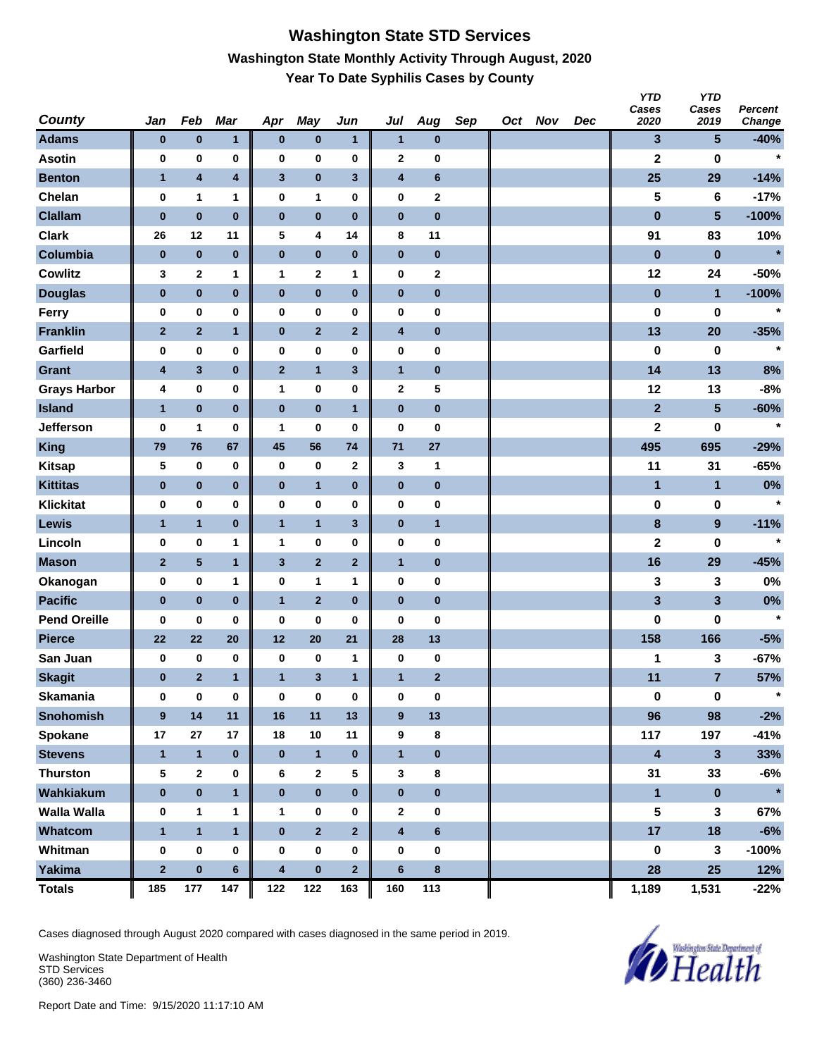#### **Washington State STD Services Washington State Monthly Activity Through August, 2020 Year To Date Syphilis Cases by County**

| <b>County</b>       | Jan          | Feb              | Mar                     | Apr                     | <b>May</b>              | Jun          | Jul                     | Aug            | Sep | Oct Nov | Dec | <b>YTD</b><br>Cases<br>2020 | <b>YTD</b><br>Cases<br>2019 | Percent<br>Change |
|---------------------|--------------|------------------|-------------------------|-------------------------|-------------------------|--------------|-------------------------|----------------|-----|---------|-----|-----------------------------|-----------------------------|-------------------|
| <b>Adams</b>        | $\bf{0}$     | $\pmb{0}$        | 1                       | $\bf{0}$                | $\pmb{0}$               | 1            | $\mathbf{1}$            | $\pmb{0}$      |     |         |     | 3                           | $5\phantom{.0}$             | $-40%$            |
| <b>Asotin</b>       | 0            | 0                | 0                       | 0                       | $\bf{0}$                | 0            | $\mathbf 2$             | 0              |     |         |     | $\mathbf 2$                 | $\bf{0}$                    | $\star$           |
| <b>Benton</b>       | $\mathbf{1}$ | 4                | $\overline{\mathbf{4}}$ | $\mathbf{3}$            | $\pmb{0}$               | $\mathbf{3}$ | 4                       | 6              |     |         |     | 25                          | 29                          | $-14%$            |
| Chelan              | 0            | 1                | 1                       | 0                       | $\mathbf{1}$            | 0            | 0                       | 2              |     |         |     | 5                           | 6                           | $-17%$            |
| <b>Clallam</b>      | $\pmb{0}$    | $\pmb{0}$        | $\bf{0}$                | $\pmb{0}$               | $\pmb{0}$               | $\pmb{0}$    | $\pmb{0}$               | $\pmb{0}$      |     |         |     | $\pmb{0}$                   | 5                           | $-100%$           |
| <b>Clark</b>        | 26           | 12               | 11                      | 5                       | 4                       | 14           | 8                       | 11             |     |         |     | 91                          | 83                          | 10%               |
| Columbia            | $\pmb{0}$    | $\pmb{0}$        | $\pmb{0}$               | $\pmb{0}$               | $\pmb{0}$               | $\pmb{0}$    | $\pmb{0}$               | $\pmb{0}$      |     |         |     | $\bf{0}$                    | $\bf{0}$                    | $\star$           |
| <b>Cowlitz</b>      | 3            | $\boldsymbol{2}$ | 1                       | 1                       | $\mathbf 2$             | 1            | 0                       | 2              |     |         |     | 12                          | 24                          | $-50%$            |
| <b>Douglas</b>      | $\bf{0}$     | $\pmb{0}$        | $\pmb{0}$               | $\pmb{0}$               | $\pmb{0}$               | $\pmb{0}$    | $\pmb{0}$               | $\pmb{0}$      |     |         |     | $\pmb{0}$                   | $\mathbf{1}$                | $-100%$           |
| Ferry               | 0            | $\pmb{0}$        | 0                       | 0                       | $\bf{0}$                | 0            | 0                       | 0              |     |         |     | 0                           | 0                           | $\star$           |
| <b>Franklin</b>     | $\mathbf{2}$ | $\mathbf{2}$     | 1                       | $\pmb{0}$               | $\mathbf 2$             | 2            | $\overline{\mathbf{4}}$ | $\pmb{0}$      |     |         |     | 13                          | 20                          | $-35%$            |
| Garfield            | 0            | $\pmb{0}$        | $\bf{0}$                | 0                       | $\pmb{0}$               | 0            | 0                       | 0              |     |         |     | $\bf{0}$                    | $\bf{0}$                    | $\star$           |
| <b>Grant</b>        | 4            | 3                | $\pmb{0}$               | $\mathbf{2}$            | $\overline{1}$          | $\mathbf{3}$ | $\mathbf{1}$            | $\bf{0}$       |     |         |     | 14                          | 13                          | 8%                |
| <b>Grays Harbor</b> | 4            | $\pmb{0}$        | 0                       | 1                       | $\pmb{0}$               | 0            | $\mathbf 2$             | 5              |     |         |     | 12                          | 13                          | $-8%$             |
| <b>Island</b>       | $\mathbf{1}$ | $\pmb{0}$        | $\bf{0}$                | $\pmb{0}$               | $\mathbf 0$             | $\mathbf{1}$ | $\pmb{0}$               | $\pmb{0}$      |     |         |     | $\overline{2}$              | $5\phantom{.0}$             | $-60%$            |
| Jefferson           | 0            | 1                | 0                       | 1                       | 0                       | 0            | 0                       | 0              |     |         |     | 2                           | 0                           | $\star$           |
| <b>King</b>         | 79           | 76               | 67                      | 45                      | 56                      | 74           | 71                      | 27             |     |         |     | 495                         | 695                         | $-29%$            |
| <b>Kitsap</b>       | 5            | $\pmb{0}$        | 0                       | 0                       | 0                       | $\mathbf 2$  | 3                       | 1              |     |         |     | 11                          | 31                          | $-65%$            |
| <b>Kittitas</b>     | $\bf{0}$     | $\pmb{0}$        | $\pmb{0}$               | $\pmb{0}$               | $\mathbf{1}$            | $\pmb{0}$    | $\pmb{0}$               | $\pmb{0}$      |     |         |     | 1                           | 1                           | 0%                |
| <b>Klickitat</b>    | 0            | $\pmb{0}$        | 0                       | 0                       | $\pmb{0}$               | 0            | $\pmb{0}$               | 0              |     |         |     | 0                           | 0                           | $\star$           |
| Lewis               | $\mathbf{1}$ | $\mathbf{1}$     | $\pmb{0}$               | $\mathbf{1}$            | $\mathbf{1}$            | $\mathbf{3}$ | $\pmb{0}$               | $\mathbf{1}$   |     |         |     | $\bf8$                      | 9                           | $-11%$            |
| Lincoln             | 0            | $\pmb{0}$        | 1                       | 1                       | $\pmb{0}$               | 0            | 0                       | 0              |     |         |     | $\mathbf 2$                 | $\bf{0}$                    | $\star$           |
| <b>Mason</b>        | $\mathbf{2}$ | 5                | $\mathbf{1}$            | 3                       | $\mathbf 2$             | $\mathbf{2}$ | $\mathbf{1}$            | $\mathbf 0$    |     |         |     | 16                          | 29                          | $-45%$            |
| Okanogan            | 0            | $\pmb{0}$        | 1                       | 0                       | $\mathbf{1}$            | 1            | 0                       | 0              |     |         |     | 3                           | 3                           | 0%                |
| <b>Pacific</b>      | $\pmb{0}$    | $\pmb{0}$        | $\bf{0}$                | $\mathbf{1}$            | $\overline{\mathbf{2}}$ | $\bf{0}$     | $\pmb{0}$               | $\pmb{0}$      |     |         |     | 3                           | $\mathbf{3}$                | $0\%$             |
| <b>Pend Oreille</b> | 0            | 0                | 0                       | 0                       | 0                       | 0            | 0                       | 0              |     |         |     | 0                           | 0                           | $\star$           |
| <b>Pierce</b>       | 22           | 22               | 20                      | 12                      | 20                      | 21           | 28                      | 13             |     |         |     | 158                         | 166                         | $-5%$             |
| San Juan            | 0            | $\pmb{0}$        | 0                       | 0                       | 0                       | 1            | 0                       | 0              |     |         |     | 1                           | 3                           | $-67%$            |
| <b>Skagit</b>       | $\bf{0}$     | $\overline{2}$   | 1                       | $\mathbf{1}$            | $\mathbf{3}$            | $\mathbf{1}$ | $\mathbf{1}$            | $\mathbf{2}$   |     |         |     | 11                          | $\overline{7}$              | 57%               |
| <b>Skamania</b>     | 0            | $\bf{0}$         | $\pmb{0}$               | $\bf{0}$                | $\pmb{0}$               | $\pmb{0}$    | 0                       | $\pmb{0}$      |     |         |     | 0                           | $\mathbf 0$                 | $\star$           |
| <b>Snohomish</b>    | 9            | 14               | 11                      | 16                      | 11                      | 13           | 9                       | 13             |     |         |     | 96                          | 98                          | $-2%$             |
| Spokane             | 17           | 27               | 17                      | 18                      | 10                      | 11           | 9                       | 8              |     |         |     | 117                         | 197                         | $-41%$            |
| <b>Stevens</b>      | $\mathbf{1}$ | $\mathbf{1}$     | $\pmb{0}$               | $\bf{0}$                | $\mathbf{1}$            | $\bf{0}$     | $\mathbf{1}$            | $\mathbf 0$    |     |         |     | $\overline{\mathbf{4}}$     | $\mathbf{3}$                | 33%               |
| <b>Thurston</b>     | 5            | $\mathbf 2$      | 0                       | 6                       | $\mathbf{2}$            | 5            | 3                       | 8              |     |         |     | 31                          | 33                          | $-6%$             |
| Wahkiakum           | $\pmb{0}$    | $\pmb{0}$        | $\mathbf{1}$            | $\bf{0}$                | $\pmb{0}$               | $\pmb{0}$    | $\pmb{0}$               | $\mathbf 0$    |     |         |     | $\blacksquare$              | $\pmb{0}$                   | $\star$           |
| <b>Walla Walla</b>  | 0            | $\mathbf{1}$     | 1                       | 1                       | $\pmb{0}$               | 0            | $\mathbf{2}$            | 0              |     |         |     | 5                           | $\mathbf{3}$                | 67%               |
| Whatcom             | $\mathbf{1}$ | $\mathbf{1}$     | $\mathbf{1}$            | $\bf{0}$                | $\overline{\mathbf{2}}$ | $\mathbf 2$  | $\overline{\mathbf{4}}$ | $6\phantom{a}$ |     |         |     | 17                          | 18                          | $-6%$             |
| Whitman             | 0            | $\bf{0}$         | $\bf{0}$                | 0                       | 0                       | 0            | $\bf{0}$                | 0              |     |         |     | 0                           | 3                           | $-100%$           |
| <b>Yakima</b>       | $\mathbf 2$  | $\pmb{0}$        | $6\phantom{.}$          | $\overline{\mathbf{4}}$ | $\pmb{0}$               | $\mathbf{2}$ | $\bf 6$                 | 8              |     |         |     | 28                          | 25                          | 12%               |
| <b>Totals</b>       | 185          | 177              | 147                     | 122                     | 122                     | 163          | 160                     | 113            |     |         |     | 1,189                       | 1,531                       | $-22%$            |

Cases diagnosed through August 2020 compared with cases diagnosed in the same period in 2019.

Washington State Department of Health STD Services (360) 236-3460

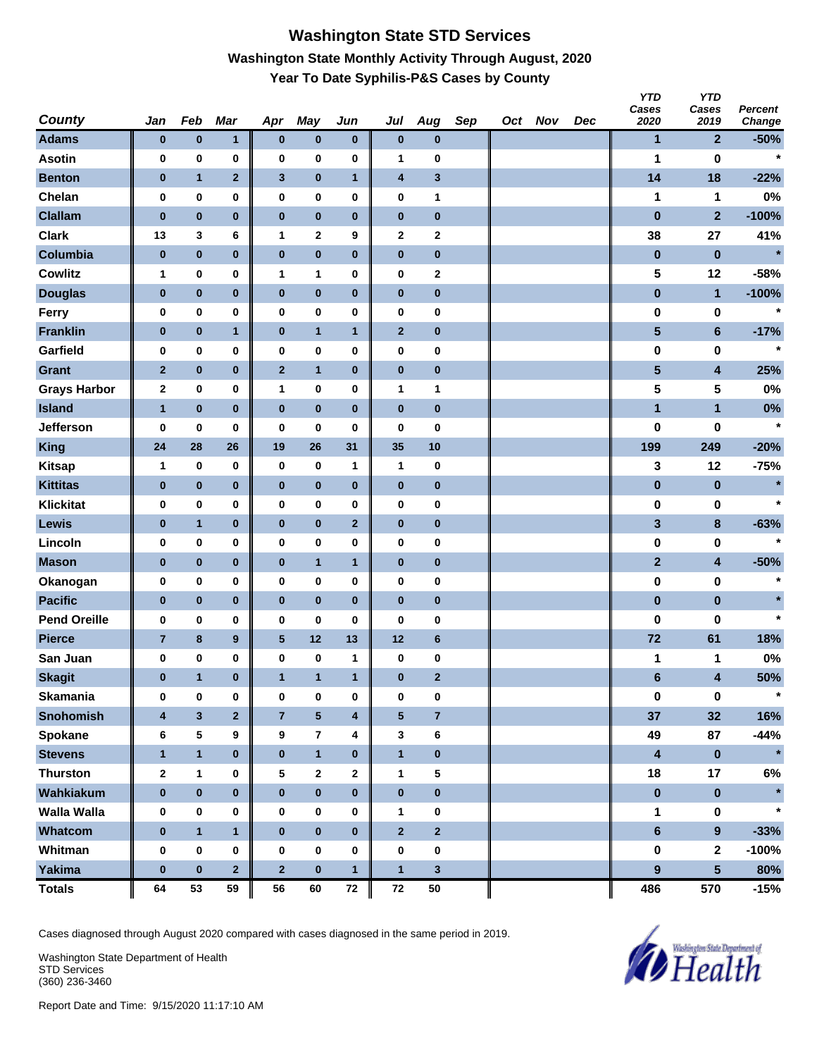# **Washington State STD Services Washington State Monthly Activity Through August, 2020 Year To Date Syphilis-P&S Cases by County**

| <b>County</b>       | Jan                     | Feb          | <b>Mar</b>              | Apr          | <b>May</b>      | Jun          | Jul                     | Aug            | Sep | Oct Nov | Dec | <b>YTD</b><br>Cases<br>2020 | <b>YTD</b><br>Cases<br>2019 | Percent<br>Change |
|---------------------|-------------------------|--------------|-------------------------|--------------|-----------------|--------------|-------------------------|----------------|-----|---------|-----|-----------------------------|-----------------------------|-------------------|
| <b>Adams</b>        | $\bf{0}$                | $\pmb{0}$    | 1                       | $\bf{0}$     | $\pmb{0}$       | $\bf{0}$     | $\pmb{0}$               | 0              |     |         |     | 1                           | $\overline{2}$              | $-50%$            |
| <b>Asotin</b>       | $\bf{0}$                | 0            | 0                       | $\bf{0}$     | $\pmb{0}$       | $\pmb{0}$    | 1                       | 0              |     |         |     | 1                           | 0                           | $\star$           |
| <b>Benton</b>       | $\bf{0}$                | $\mathbf{1}$ | $\mathbf{2}$            | $\mathbf{3}$ | $\pmb{0}$       | $\mathbf{1}$ | 4                       | 3              |     |         |     | 14                          | 18                          | $-22%$            |
| Chelan              | 0                       | $\pmb{0}$    | 0                       | $\bf{0}$     | 0               | 0            | $\pmb{0}$               | 1              |     |         |     | 1                           | 1                           | 0%                |
| <b>Clallam</b>      | $\pmb{0}$               | $\pmb{0}$    | $\bf{0}$                | $\pmb{0}$    | $\pmb{0}$       | $\bf{0}$     | $\pmb{0}$               | $\pmb{0}$      |     |         |     | $\bf{0}$                    | $\overline{2}$              | $-100%$           |
| <b>Clark</b>        | 13                      | 3            | 6                       | 1            | $\mathbf 2$     | 9            | 2                       | $\mathbf{2}$   |     |         |     | 38                          | 27                          | 41%               |
| Columbia            | $\pmb{0}$               | $\pmb{0}$    | $\pmb{0}$               | $\pmb{0}$    | $\pmb{0}$       | $\pmb{0}$    | $\pmb{0}$               | 0              |     |         |     | $\pmb{0}$                   | $\bf{0}$                    | $\star$           |
| <b>Cowlitz</b>      | $\mathbf{1}$            | 0            | 0                       | $\mathbf{1}$ | 1               | 0            | $\pmb{0}$               | 2              |     |         |     | 5                           | 12                          | $-58%$            |
| <b>Douglas</b>      | $\bf{0}$                | $\pmb{0}$    | $\pmb{0}$               | $\pmb{0}$    | $\pmb{0}$       | $\bf{0}$     | $\pmb{0}$               | 0              |     |         |     | $\pmb{0}$                   | $\mathbf{1}$                | $-100%$           |
| Ferry               | $\mathbf 0$             | $\pmb{0}$    | 0                       | $\bf{0}$     | 0               | 0            | $\pmb{0}$               | 0              |     |         |     | 0                           | 0                           | $\ast$            |
| <b>Franklin</b>     | $\pmb{0}$               | $\pmb{0}$    | $\mathbf{1}$            | $\bf{0}$     | $\mathbf{1}$    | $\mathbf{1}$ | $\mathbf{2}$            | 0              |     |         |     | $\overline{\mathbf{5}}$     | $\bf 6$                     | $-17%$            |
| Garfield            | 0                       | $\pmb{0}$    | 0                       | $\bf{0}$     | 0               | $\pmb{0}$    | 0                       | 0              |     |         |     | $\pmb{0}$                   | 0                           | $\star$           |
| <b>Grant</b>        | $\overline{2}$          | $\pmb{0}$    | $\pmb{0}$               | $\mathbf{2}$ | $\mathbf{1}$    | $\bf{0}$     | $\pmb{0}$               | 0              |     |         |     | $\overline{\mathbf{5}}$     | $\overline{\mathbf{4}}$     | 25%               |
| <b>Grays Harbor</b> | $\mathbf{2}$            | $\pmb{0}$    | 0                       | 1            | 0               | 0            | $\mathbf{1}$            | 1              |     |         |     | 5                           | 5                           | 0%                |
| <b>Island</b>       | $\mathbf{1}$            | $\pmb{0}$    | $\bf{0}$                | $\pmb{0}$    | $\pmb{0}$       | $\bf{0}$     | $\pmb{0}$               | $\pmb{0}$      |     |         |     | $\mathbf{1}$                | $\mathbf{1}$                | $0\%$             |
| <b>Jefferson</b>    | 0                       | 0            | 0                       | 0            | 0               | 0            | 0                       | 0              |     |         |     | 0                           | 0                           | $\star$           |
| <b>King</b>         | 24                      | 28           | 26                      | 19           | 26              | 31           | 35                      | 10             |     |         |     | 199                         | 249                         | $-20%$            |
| <b>Kitsap</b>       | $\mathbf{1}$            | $\bf{0}$     | 0                       | 0            | $\pmb{0}$       | $\mathbf{1}$ | $\mathbf{1}$            | $\pmb{0}$      |     |         |     | 3                           | 12                          | $-75%$            |
| <b>Kittitas</b>     | $\bf{0}$                | $\bf{0}$     | $\pmb{0}$               | $\pmb{0}$    | $\pmb{0}$       | $\bf{0}$     | $\pmb{0}$               | 0              |     |         |     | $\pmb{0}$                   | $\bf{0}$                    | $\star$           |
| <b>Klickitat</b>    | 0                       | $\pmb{0}$    | 0                       | $\bf{0}$     | 0               | 0            | 0                       | 0              |     |         |     | 0                           | 0                           | $\star$           |
| <b>Lewis</b>        | $\bf{0}$                | $\mathbf{1}$ | $\pmb{0}$               | $\bf{0}$     | $\pmb{0}$       | $\mathbf{2}$ | $\pmb{0}$               | 0              |     |         |     | 3                           | 8                           | $-63%$            |
| Lincoln             | 0                       | $\pmb{0}$    | 0                       | $\bf{0}$     | 0               | 0            | $\pmb{0}$               | 0              |     |         |     | 0                           | 0                           | $\star$           |
| <b>Mason</b>        | $\pmb{0}$               | $\pmb{0}$    | $\pmb{0}$               | $\pmb{0}$    | $\mathbf{1}$    | $\mathbf{1}$ | $\pmb{0}$               | 0              |     |         |     | $\mathbf{2}$                | $\overline{\mathbf{4}}$     | $-50%$            |
| Okanogan            | 0                       | $\pmb{0}$    | 0                       | $\bf{0}$     | 0               | 0            | $\pmb{0}$               | 0              |     |         |     | 0                           | 0                           | $\star$           |
| <b>Pacific</b>      | $\pmb{0}$               | $\pmb{0}$    | $\bf{0}$                | $\pmb{0}$    | $\bf{0}$        | $\bf{0}$     | $\pmb{0}$               | $\pmb{0}$      |     |         |     | $\bf{0}$                    | $\pmb{0}$                   | $\star$           |
| <b>Pend Oreille</b> | 0                       | 0            | 0                       | 0            | 0               | 0            | 0                       | 0              |     |         |     | 0                           | 0                           | $\star$           |
| <b>Pierce</b>       | $\overline{7}$          | $\bf 8$      | $\boldsymbol{9}$        | ${\bf 5}$    | 12              | 13           | 12                      | 6              |     |         |     | 72                          | 61                          | 18%               |
| San Juan            | 0                       | 0            | 0                       | $\bf{0}$     | 0               | $\mathbf{1}$ | 0                       | 0              |     |         |     | 1                           | 1                           | 0%                |
| <b>Skagit</b>       | 0                       | $\mathbf{1}$ | $\bf{0}$                | $\mathbf{1}$ | $\mathbf{1}$    | $\mathbf{1}$ | $\bf{0}$                | $\overline{2}$ |     |         |     | $6\phantom{1}$              | 4                           | 50%               |
| <b>Skamania</b>     | $\bf{0}$                | $\pmb{0}$    | 0                       | $\bf{0}$     | $\pmb{0}$       | 0            | $\pmb{0}$               | $\pmb{0}$      |     |         |     | $\pmb{0}$                   | $\mathbf 0$                 | $\star$           |
| <b>Snohomish</b>    | $\overline{\mathbf{4}}$ | $\mathbf{3}$ | $\overline{\mathbf{2}}$ | $\bf 7$      | $5\phantom{.0}$ | 4            | ${\bf 5}$               | $\overline{7}$ |     |         |     | 37                          | 32                          | 16%               |
| Spokane             | 6                       | 5            | 9                       | 9            | $\overline{7}$  | 4            | 3                       | 6              |     |         |     | 49                          | 87                          | $-44%$            |
| <b>Stevens</b>      | $\mathbf{1}$            | $\mathbf{1}$ | $\pmb{0}$               | $\pmb{0}$    | $\mathbf{1}$    | $\bf{0}$     | $\mathbf{1}$            | $\pmb{0}$      |     |         |     | $\overline{\mathbf{4}}$     | $\pmb{0}$                   | $\star$           |
| <b>Thurston</b>     | $\mathbf 2$             | $\mathbf{1}$ | 0                       | 5            | $\mathbf{2}$    | 2            | $\mathbf{1}$            | 5              |     |         |     | 18                          | 17                          | $6\%$             |
| Wahkiakum           | $\pmb{0}$               | $\pmb{0}$    | $\pmb{0}$               | $\pmb{0}$    | $\pmb{0}$       | $\pmb{0}$    | $\pmb{0}$               | $\pmb{0}$      |     |         |     | $\pmb{0}$                   | $\pmb{0}$                   |                   |
| <b>Walla Walla</b>  | 0                       | 0            | 0                       | 0            | 0               | 0            | $\mathbf{1}$            | 0              |     |         |     | 1                           | $\mathbf 0$                 | $\star$           |
| Whatcom             | $\pmb{0}$               | $\mathbf{1}$ | $\mathbf{1}$            | $\pmb{0}$    | $\pmb{0}$       | $\pmb{0}$    | $\overline{\mathbf{2}}$ | $\overline{2}$ |     |         |     | $\bf 6$                     | $\overline{9}$              | $-33%$            |
| Whitman             | 0                       | $\pmb{0}$    | 0                       | $\bf{0}$     | 0               | 0            | $\pmb{0}$               | 0              |     |         |     | 0                           | $\mathbf{2}$                | $-100%$           |
| <b>Yakima</b>       | $\pmb{0}$               | $\pmb{0}$    | $\mathbf{2}$            | $\mathbf{2}$ | $\mathbf 0$     | $\mathbf{1}$ | $\mathbf{1}$            | 3              |     |         |     | $\boldsymbol{9}$            | 5 <sup>5</sup>              | 80%               |
| <b>Totals</b>       | 64                      | 53           | 59                      | 56           | 60              | ${\bf 72}$   | ${\bf 72}$              | 50             |     |         |     | 486                         | 570                         | $-15%$            |

Cases diagnosed through August 2020 compared with cases diagnosed in the same period in 2019.

Washington State Department of Health STD Services (360) 236-3460

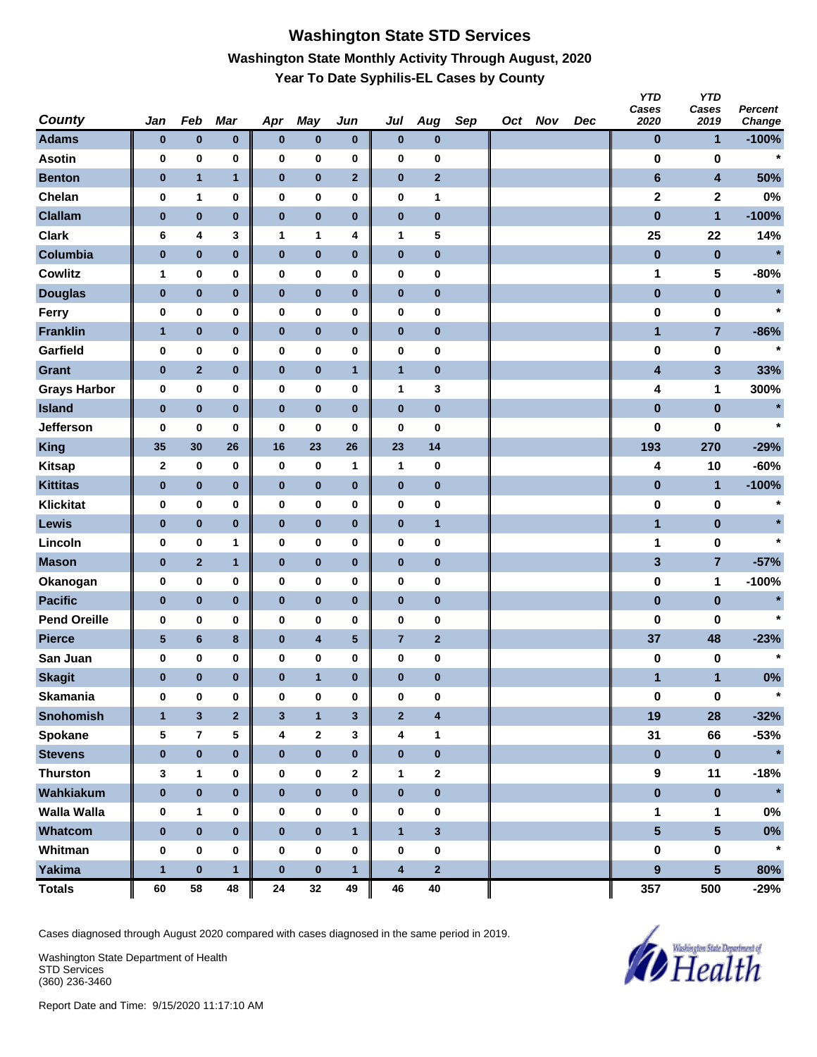## **Washington State STD Services Washington State Monthly Activity Through August, 2020 Year To Date Syphilis-EL Cases by County**

| <b>County</b>       | Jan              | Feb                     | <b>Mar</b>              | Apr          | <b>May</b>   | Jun          | Jul                     | Aug                     | Sep | Oct Nov | Dec | <b>YTD</b><br>Cases<br>2020 | <b>YTD</b><br>Cases<br>2019 | <b>Percent</b><br>Change |
|---------------------|------------------|-------------------------|-------------------------|--------------|--------------|--------------|-------------------------|-------------------------|-----|---------|-----|-----------------------------|-----------------------------|--------------------------|
| <b>Adams</b>        | $\bf{0}$         | $\pmb{0}$               | $\pmb{0}$               | $\bf{0}$     | $\pmb{0}$    | $\bf{0}$     | $\pmb{0}$               | 0                       |     |         |     | $\bf{0}$                    | 1                           | $-100%$                  |
| <b>Asotin</b>       | 0                | 0                       | 0                       | $\bf{0}$     | 0            | $\pmb{0}$    | 0                       | 0                       |     |         |     | $\bf{0}$                    | 0                           | $\star$                  |
| <b>Benton</b>       | $\bf{0}$         | $\mathbf{1}$            | $\mathbf{1}$            | $\bf{0}$     | $\pmb{0}$    | $\mathbf{2}$ | $\pmb{0}$               | 2                       |     |         |     | $\bf 6$                     | $\overline{\mathbf{4}}$     | 50%                      |
| Chelan              | 0                | 1                       | 0                       | $\bf{0}$     | 0            | 0            | 0                       | 1                       |     |         |     | $\mathbf 2$                 | $\mathbf 2$                 | 0%                       |
| <b>Clallam</b>      | $\pmb{0}$        | $\pmb{0}$               | $\pmb{0}$               | $\pmb{0}$    | $\pmb{0}$    | $\bf{0}$     | $\pmb{0}$               | $\pmb{0}$               |     |         |     | $\bf{0}$                    | $\mathbf{1}$                | $-100%$                  |
| <b>Clark</b>        | 6                | 4                       | 3                       | 1            | 1            | 4            | $\mathbf{1}$            | 5                       |     |         |     | 25                          | 22                          | 14%                      |
| Columbia            | $\pmb{0}$        | $\pmb{0}$               | $\pmb{0}$               | $\pmb{0}$    | $\pmb{0}$    | $\pmb{0}$    | $\pmb{0}$               | 0                       |     |         |     | $\pmb{0}$                   | $\pmb{0}$                   | $\star$                  |
| <b>Cowlitz</b>      | $\mathbf{1}$     | 0                       | 0                       | $\bf{0}$     | 0            | 0            | $\pmb{0}$               | 0                       |     |         |     | 1                           | 5                           | $-80%$                   |
| <b>Douglas</b>      | $\bf{0}$         | $\pmb{0}$               | $\pmb{0}$               | $\bf{0}$     | $\pmb{0}$    | $\bf{0}$     | $\pmb{0}$               | 0                       |     |         |     | $\pmb{0}$                   | $\pmb{0}$                   | $\star$                  |
| Ferry               | 0                | $\pmb{0}$               | 0                       | $\bf{0}$     | 0            | 0            | $\pmb{0}$               | 0                       |     |         |     | 0                           | 0                           | $\star$                  |
| <b>Franklin</b>     | $\mathbf{1}$     | $\pmb{0}$               | $\pmb{0}$               | $\bf{0}$     | $\pmb{0}$    | $\pmb{0}$    | $\pmb{0}$               | 0                       |     |         |     | $\mathbf{1}$                | $\overline{7}$              | $-86%$                   |
| Garfield            | 0                | $\pmb{0}$               | 0                       | $\bf{0}$     | 0            | $\pmb{0}$    | 0                       | 0                       |     |         |     | 0                           | 0                           | $\star$                  |
| <b>Grant</b>        | $\pmb{0}$        | $\mathbf 2$             | $\pmb{0}$               | $\pmb{0}$    | $\pmb{0}$    | $\mathbf{1}$ | $\mathbf{1}$            | 0                       |     |         |     | $\overline{\mathbf{4}}$     | $\mathbf{3}$                | 33%                      |
| <b>Grays Harbor</b> | 0                | $\pmb{0}$               | 0                       | $\bf{0}$     | 0            | 0            | $\mathbf{1}$            | 3                       |     |         |     | 4                           | 1                           | 300%                     |
| <b>Island</b>       | $\pmb{0}$        | $\pmb{0}$               | $\bf{0}$                | $\pmb{0}$    | $\pmb{0}$    | $\bf{0}$     | $\pmb{0}$               | $\pmb{0}$               |     |         |     | $\pmb{0}$                   | $\pmb{0}$                   | $\star$                  |
| <b>Jefferson</b>    | 0                | 0                       | 0                       | $\bf{0}$     | 0            | 0            | 0                       | 0                       |     |         |     | $\bf{0}$                    | 0                           | $\star$                  |
| <b>King</b>         | 35               | 30                      | 26                      | 16           | 23           | 26           | 23                      | 14                      |     |         |     | 193                         | 270                         | $-29%$                   |
| <b>Kitsap</b>       | $\boldsymbol{2}$ | $\bf{0}$                | 0                       | $\bf{0}$     | $\pmb{0}$    | 1            | $\mathbf{1}$            | $\pmb{0}$               |     |         |     | 4                           | 10                          | $-60%$                   |
| <b>Kittitas</b>     | $\bf{0}$         | $\pmb{0}$               | $\pmb{0}$               | $\pmb{0}$    | $\pmb{0}$    | $\bf{0}$     | $\pmb{0}$               | 0                       |     |         |     | $\pmb{0}$                   | $\mathbf{1}$                | $-100%$                  |
| <b>Klickitat</b>    | 0                | $\pmb{0}$               | 0                       | $\bf{0}$     | 0            | 0            | 0                       | 0                       |     |         |     | 0                           | 0                           | $\star$                  |
| <b>Lewis</b>        | $\bf{0}$         | $\pmb{0}$               | $\pmb{0}$               | $\bf{0}$     | $\pmb{0}$    | $\bf{0}$     | $\pmb{0}$               | $\mathbf{1}$            |     |         |     | $\mathbf{1}$                | $\pmb{0}$                   | $\star$                  |
| Lincoln             | 0                | $\pmb{0}$               | 1                       | $\bf{0}$     | 0            | $\pmb{0}$    | 0                       | 0                       |     |         |     | 1                           | 0                           | $\star$                  |
| <b>Mason</b>        | $\pmb{0}$        | $\mathbf 2$             | $\mathbf{1}$            | $\bf{0}$     | $\pmb{0}$    | $\bf{0}$     | $\pmb{0}$               | 0                       |     |         |     | 3                           | $\overline{7}$              | $-57%$                   |
| Okanogan            | 0                | $\pmb{0}$               | 0                       | $\bf{0}$     | 0            | 0            | 0                       | 0                       |     |         |     | $\pmb{0}$                   | 1                           | $-100%$                  |
| <b>Pacific</b>      | $\pmb{0}$        | $\pmb{0}$               | $\bf{0}$                | $\pmb{0}$    | $\pmb{0}$    | $\bf{0}$     | $\pmb{0}$               | $\pmb{0}$               |     |         |     | $\pmb{0}$                   | $\pmb{0}$                   | $\star$                  |
| <b>Pend Oreille</b> | 0                | 0                       | 0                       | 0            | 0            | 0            | 0                       | 0                       |     |         |     | 0                           | 0                           | $\star$                  |
| <b>Pierce</b>       | $\sqrt{5}$       | $\bf 6$                 | $\bf8$                  | $\pmb{0}$    | $\pmb{4}$    | $\sqrt{5}$   | $\overline{7}$          | $\overline{\mathbf{2}}$ |     |         |     | 37                          | 48                          | $-23%$                   |
| San Juan            | 0                | 0                       | 0                       | $\bf{0}$     | $\pmb{0}$    | 0            | $\pmb{0}$               | 0                       |     |         |     | 0                           | 0                           | $\star$                  |
| <b>Skagit</b>       | 0                | $\bf{0}$                | $\bf{0}$                | $\bf{0}$     | $\mathbf{1}$ | $\bf{0}$     | $\bf{0}$                | 0                       |     |         |     | 1                           | $\mathbf{1}$                | 0%                       |
| <b>Skamania</b>     | $\bf{0}$         | $\pmb{0}$               | 0                       | $\bf{0}$     | $\pmb{0}$    | $\pmb{0}$    | $\bf{0}$                | $\pmb{0}$               |     |         |     | $\pmb{0}$                   | $\mathbf 0$                 | $\ast$                   |
| <b>Snohomish</b>    | $\mathbf{1}$     | $\mathbf{3}$            | $\overline{\mathbf{2}}$ | $\mathbf{3}$ | $\mathbf{1}$ | 3            | $\overline{\mathbf{2}}$ | 4                       |     |         |     | 19                          | 28                          | $-32%$                   |
| Spokane             | 5                | $\overline{\mathbf{r}}$ | 5                       | 4            | $\mathbf{2}$ | 3            | 4                       | 1                       |     |         |     | 31                          | 66                          | $-53%$                   |
| <b>Stevens</b>      | $\bf{0}$         | $\pmb{0}$               | $\pmb{0}$               | $\bf{0}$     | $\pmb{0}$    | $\bf{0}$     | $\pmb{0}$               | $\pmb{0}$               |     |         |     | $\pmb{0}$                   | $\pmb{0}$                   | $\star$                  |
| <b>Thurston</b>     | 3                | $\mathbf{1}$            | 0                       | $\pmb{0}$    | $\pmb{0}$    | 2            | $\mathbf{1}$            | 2                       |     |         |     | $\boldsymbol{9}$            | 11                          | $-18%$                   |
| Wahkiakum           | $\pmb{0}$        | $\pmb{0}$               | $\pmb{0}$               | $\pmb{0}$    | $\pmb{0}$    | $\pmb{0}$    | $\pmb{0}$               | $\pmb{0}$               |     |         |     | $\pmb{0}$                   | $\pmb{0}$                   | $\star$                  |
| <b>Walla Walla</b>  | 0                | 1                       | 0                       | 0            | 0            | 0            | $\pmb{0}$               | 0                       |     |         |     | 1                           | 1                           | $0\%$                    |
| Whatcom             | $\pmb{0}$        | $\pmb{0}$               | $\bf{0}$                | $\bf{0}$     | $\pmb{0}$    | $\mathbf{1}$ | $\mathbf{1}$            | $\mathbf{3}$            |     |         |     | $5\phantom{a}$              | $5\overline{)}$             | $0\%$                    |
| Whitman             | 0                | $\pmb{0}$               | 0                       | $\bf{0}$     | 0            | 0            | $\pmb{0}$               | 0                       |     |         |     | 0                           | $\pmb{0}$                   | $\star$                  |
| <b>Yakima</b>       | $\mathbf{1}$     | $\pmb{0}$               | $\mathbf{1}$            | $\pmb{0}$    | $\pmb{0}$    | $\mathbf{1}$ | $\overline{\mathbf{4}}$ | $\overline{\mathbf{2}}$ |     |         |     | $\boldsymbol{9}$            | 5 <sup>5</sup>              | 80%                      |
| <b>Totals</b>       | 60               | 58                      | 48                      | 24           | 32           | 49           | 46                      | 40                      |     |         |     | 357                         | 500                         | -29%                     |

Cases diagnosed through August 2020 compared with cases diagnosed in the same period in 2019.

Washington State Department of Health STD Services (360) 236-3460

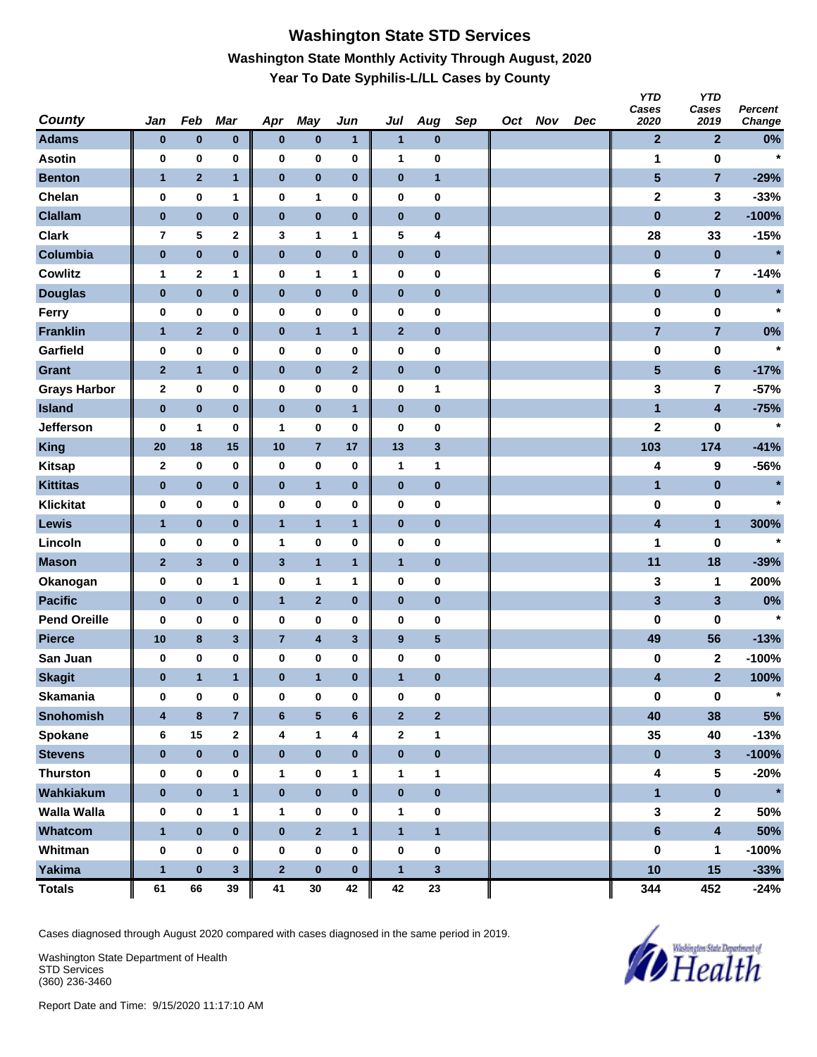## **Washington State STD Services Washington State Monthly Activity Through August, 2020 Year To Date Syphilis-L/LL Cases by County**

| <b>County</b>       | Jan              | Feb          | Mar            | Apr            | <b>May</b>              | Jun            | Jul              | Aug                     | Sep | Oct Nov | Dec | <b>YTD</b><br>Cases<br>2020 | <b>YTD</b><br>Cases<br>2019 | Percent<br>Change |
|---------------------|------------------|--------------|----------------|----------------|-------------------------|----------------|------------------|-------------------------|-----|---------|-----|-----------------------------|-----------------------------|-------------------|
| <b>Adams</b>        | $\bf{0}$         | $\pmb{0}$    | $\pmb{0}$      | $\bf{0}$       | $\pmb{0}$               | 1              | $\mathbf{1}$     | $\bf{0}$                |     |         |     | $\mathbf{2}$                | $\overline{2}$              | 0%                |
| <b>Asotin</b>       | 0                | 0            | 0              | $\bf{0}$       | 0                       | 0              | 1                | 0                       |     |         |     | 1                           | 0                           | $\star$           |
| <b>Benton</b>       | $\mathbf{1}$     | $\mathbf 2$  | $\mathbf{1}$   | $\pmb{0}$      | $\pmb{0}$               | 0              | $\pmb{0}$        | $\mathbf{1}$            |     |         |     | $\overline{\mathbf{5}}$     | $\overline{7}$              | $-29%$            |
| Chelan              | $\pmb{0}$        | $\pmb{0}$    | 1              | $\bf{0}$       | 1                       | 0              | $\pmb{0}$        | 0                       |     |         |     | $\mathbf 2$                 | 3                           | $-33%$            |
| <b>Clallam</b>      | $\pmb{0}$        | $\pmb{0}$    | $\pmb{0}$      | $\pmb{0}$      | $\pmb{0}$               | $\bf{0}$       | $\pmb{0}$        | $\pmb{0}$               |     |         |     | $\pmb{0}$                   | $\overline{2}$              | $-100%$           |
| <b>Clark</b>        | 7                | 5            | 2              | 3              | 1                       | 1              | 5                | 4                       |     |         |     | 28                          | 33                          | $-15%$            |
| Columbia            | $\pmb{0}$        | $\pmb{0}$    | $\pmb{0}$      | $\pmb{0}$      | $\pmb{0}$               | $\pmb{0}$      | $\pmb{0}$        | $\pmb{0}$               |     |         |     | $\pmb{0}$                   | $\pmb{0}$                   | $\star$           |
| <b>Cowlitz</b>      | $\mathbf{1}$     | $\mathbf{2}$ | 1              | $\bf{0}$       | 1                       | 1              | $\pmb{0}$        | 0                       |     |         |     | 6                           | 7                           | $-14%$            |
| <b>Douglas</b>      | $\pmb{0}$        | $\pmb{0}$    | $\pmb{0}$      | $\pmb{0}$      | $\pmb{0}$               | $\bf{0}$       | $\pmb{0}$        | $\bf{0}$                |     |         |     | $\pmb{0}$                   | $\pmb{0}$                   | $\star$           |
| Ferry               | $\mathbf 0$      | $\pmb{0}$    | 0              | $\bf{0}$       | 0                       | 0              | $\pmb{0}$        | 0                       |     |         |     | 0                           | 0                           | $\star$           |
| <b>Franklin</b>     | $\mathbf{1}$     | $\mathbf 2$  | $\pmb{0}$      | $\bf{0}$       | $\mathbf{1}$            | $\mathbf{1}$   | $\mathbf{2}$     | $\bf{0}$                |     |         |     | $\overline{7}$              | $\overline{7}$              | 0%                |
| Garfield            | 0                | $\pmb{0}$    | 0              | $\bf{0}$       | 0                       | 0              | $\pmb{0}$        | 0                       |     |         |     | $\bf{0}$                    | 0                           | $\star$           |
| <b>Grant</b>        | $\mathbf{2}$     | $\mathbf{1}$ | $\pmb{0}$      | $\pmb{0}$      | $\pmb{0}$               | $\mathbf{2}$   | $\pmb{0}$        | 0                       |     |         |     | $\overline{\mathbf{5}}$     | $6\phantom{a}$              | $-17%$            |
| <b>Grays Harbor</b> | $\boldsymbol{2}$ | $\pmb{0}$    | 0              | $\bf{0}$       | 0                       | 0              | 0                | 1                       |     |         |     | 3                           | $\overline{\mathbf{r}}$     | $-57%$            |
| <b>Island</b>       | $\mathbf 0$      | $\pmb{0}$    | $\pmb{0}$      | $\pmb{0}$      | $\pmb{0}$               | $\mathbf{1}$   | $\pmb{0}$        | $\pmb{0}$               |     |         |     | 1                           | $\overline{\mathbf{4}}$     | $-75%$            |
| Jefferson           | 0                | 1            | 0              | 1              | 0                       | 0              | 0                | 0                       |     |         |     | $\mathbf 2$                 | 0                           | $\star$           |
| <b>King</b>         | 20               | 18           | 15             | 10             | $\overline{7}$          | 17             | 13               | 3                       |     |         |     | 103                         | 174                         | $-41%$            |
| <b>Kitsap</b>       | $\mathbf 2$      | 0            | 0              | 0              | 0                       | 0              | $\mathbf{1}$     | 1                       |     |         |     | 4                           | 9                           | -56%              |
| <b>Kittitas</b>     | $\mathbf 0$      | $\bf{0}$     | $\pmb{0}$      | $\pmb{0}$      | $\mathbf{1}$            | $\bf{0}$       | $\pmb{0}$        | $\bf{0}$                |     |         |     | $\mathbf{1}$                | $\pmb{0}$                   | $\star$           |
| <b>Klickitat</b>    | 0                | $\pmb{0}$    | 0              | $\pmb{0}$      | 0                       | 0              | $\pmb{0}$        | 0                       |     |         |     | $\pmb{0}$                   | 0                           | $\star$           |
| Lewis               | $\mathbf{1}$     | $\pmb{0}$    | $\pmb{0}$      | $\mathbf{1}$   | $\mathbf{1}$            | $\mathbf{1}$   | $\pmb{0}$        | $\bf{0}$                |     |         |     | 4                           | $\mathbf{1}$                | 300%              |
| Lincoln             | 0                | $\pmb{0}$    | 0              | $\mathbf{1}$   | 0                       | 0              | $\pmb{0}$        | 0                       |     |         |     | 1                           | $\bf{0}$                    | $\star$           |
| <b>Mason</b>        | $\mathbf{2}$     | $\mathbf{3}$ | $\pmb{0}$      | $\mathbf{3}$   | $\mathbf{1}$            | $\mathbf{1}$   | $\mathbf{1}$     | 0                       |     |         |     | 11                          | 18                          | $-39%$            |
| Okanogan            | 0                | $\pmb{0}$    | 1              | $\mathbf 0$    | 1                       | 1              | 0                | 0                       |     |         |     | 3                           | 1                           | 200%              |
| <b>Pacific</b>      | $\bf{0}$         | $\pmb{0}$    | $\pmb{0}$      | $\mathbf{1}$   | $\mathbf 2$             | $\bf{0}$       | $\pmb{0}$        | $\pmb{0}$               |     |         |     | 3                           | $\mathbf{3}$                | $0\%$             |
| <b>Pend Oreille</b> | 0                | 0            | 0              | 0              | 0                       | 0              | 0                | 0                       |     |         |     | 0                           | 0                           | $\star$           |
| <b>Pierce</b>       | 10               | $\bf8$       | $\mathbf{3}$   | $\overline{7}$ | $\overline{\mathbf{4}}$ | 3              | $\boldsymbol{9}$ | $\sqrt{5}$              |     |         |     | 49                          | 56                          | $-13%$            |
| San Juan            | 0                | 0            | 0              | 0              | 0                       | 0              | $\pmb{0}$        | 0                       |     |         |     | 0                           | 2                           | $-100%$           |
| <b>Skagit</b>       | 0                | $\mathbf{1}$ | 1              | $\bf{0}$       | $\mathbf{1}$            | $\bf{0}$       | $\mathbf{1}$     | $\bf{0}$                |     |         |     | 4                           | $\overline{\mathbf{2}}$     | 100%              |
| <b>Skamania</b>     | $\pmb{0}$        | $\mathbf 0$  | 0              | $\bf{0}$       | 0                       | 0              | $\bf{0}$         | 0                       |     |         |     | $\pmb{0}$                   | $\pmb{0}$                   | $\star$           |
| <b>Snohomish</b>    | $\boldsymbol{4}$ | $\pmb{8}$    | $\overline{7}$ | $6\phantom{1}$ | $\overline{\mathbf{5}}$ | $6\phantom{1}$ | $\mathbf{2}$     | $\overline{\mathbf{2}}$ |     |         |     | 40                          | 38                          | $5%$              |
| Spokane             | 6                | 15           | $\mathbf 2$    | 4              | $\mathbf{1}$            | 4              | $\mathbf{2}$     | 1                       |     |         |     | 35                          | 40                          | $-13%$            |
| <b>Stevens</b>      | $\bf{0}$         | $\pmb{0}$    | $\bf{0}$       | $\bf{0}$       | $\pmb{0}$               | 0              | $\pmb{0}$        | $\pmb{0}$               |     |         |     | $\pmb{0}$                   | $\mathbf{3}$                | $-100%$           |
| <b>Thurston</b>     | $\pmb{0}$        | $\pmb{0}$    | 0              | $\mathbf{1}$   | 0                       | 1              | $\mathbf{1}$     | 1                       |     |         |     | 4                           | 5                           | $-20%$            |
| Wahkiakum           | $\pmb{0}$        | $\pmb{0}$    | $\mathbf{1}$   | $\pmb{0}$      | $\pmb{0}$               | $\pmb{0}$      | $\pmb{0}$        | $\pmb{0}$               |     |         |     | $\blacksquare$              | $\pmb{0}$                   | $\star$           |
| <b>Walla Walla</b>  | 0                | 0            | 1              | $\mathbf{1}$   | 0                       | 0              | $\mathbf{1}$     | 0                       |     |         |     | $\mathbf{3}$                | $\mathbf{2}$                | 50%               |
| Whatcom             | $\mathbf{1}$     | $\pmb{0}$    | $\pmb{0}$      | $\pmb{0}$      | $\overline{2}$          | $\mathbf{1}$   | $\mathbf{1}$     | $\mathbf{1}$            |     |         |     | $\bf 6$                     | $\overline{\mathbf{4}}$     | 50%               |
| Whitman             | $\pmb{0}$        | $\pmb{0}$    | 0              | $\bf{0}$       | 0                       | 0              | $\pmb{0}$        | 0                       |     |         |     | $\pmb{0}$                   | 1                           | $-100%$           |
| <b>Yakima</b>       | $\mathbf{1}$     | $\pmb{0}$    | $\mathbf{3}$   | $\bf{2}$       | $\pmb{0}$               | $\bf{0}$       | $\mathbf{1}$     | 3                       |     |         |     | 10                          | 15                          | $-33%$            |
| <b>Totals</b>       | 61               | 66           | 39             | 41             | $30\,$                  | 42             | 42               | 23                      |     |         |     | 344                         | 452                         | $-24%$            |

Cases diagnosed through August 2020 compared with cases diagnosed in the same period in 2019.

Washington State Department of Health STD Services (360) 236-3460